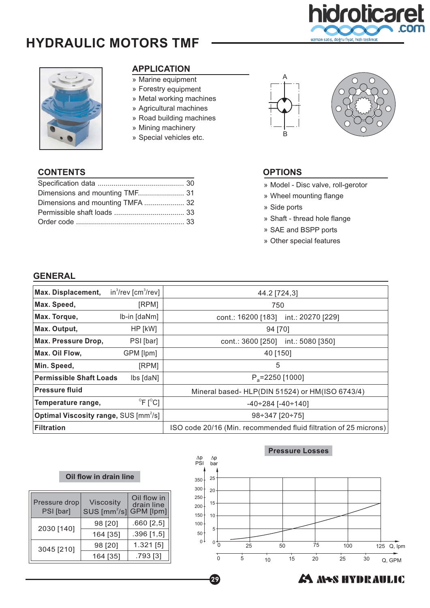

# **HYDRAULIC MOTORS TMF**

Specification data ........... .. ... ..... ...................... 30

Dimensions and mounting TMF....................... 31 Dimensions and mounting TMFA .................... 32 Permissible shaft loads ................................... 33

Order code .................. . ...... ............................ . 33



#### **APPLICATION**

- » Marine equipment
- » Forestry equipment
- » Metal working machines
- » Agricultural machines
- » Road building machines
- » Mining machinery
- » Special vehicles etc.





#### **CONTENTS OPTIONS**

» Model - Disc valve, roll-gerotor

- » Wheel mounting flange
- » Side ports
- » Shaft thread hole flange
- » SAE and BSPP ports
- » Other special features

#### **GENERAL**

| Max. Displacement,                                                       | $in^3$ /rev [cm $^3$ /rev]   | 44.2 [724,3]                                                     |  |  |
|--------------------------------------------------------------------------|------------------------------|------------------------------------------------------------------|--|--|
| Max. Speed,                                                              | [RPM]                        | 750                                                              |  |  |
| Max. Torque,                                                             | Ib-in [daNm]                 | cont.: 16200 [183]<br>int.: 20270 [229]                          |  |  |
| Max. Output,                                                             | HP [kW]                      | 94 [70]                                                          |  |  |
| Max. Pressure Drop,                                                      | PSI [bar]                    | int.: 5080 [350]<br>cont.: 3600 [250]                            |  |  |
| Max. Oil Flow,                                                           | GPM [lpm]                    | 40 [150]                                                         |  |  |
| Min. Speed,                                                              | [RPM]                        | 5                                                                |  |  |
| <b>Permissible Shaft Loads</b>                                           | lbs [daN]                    | $P_a = 2250$ [1000]                                              |  |  |
| <b>Pressure fluid</b>                                                    |                              | Mineral based- HLP(DIN 51524) or HM(ISO 6743/4)                  |  |  |
| Temperature range,                                                       | $^{\circ}$ F [ $^{\circ}$ C] | $-40 \div 284$ [ $-40 \div 140$ ]                                |  |  |
| <b>Optimal Viscosity range, SUS [mm<sup>2</sup>/s]</b><br>98÷347 [20÷75] |                              |                                                                  |  |  |
| <b>Filtration</b>                                                        |                              | ISO code 20/16 (Min. recommended fluid filtration of 25 microns) |  |  |

#### **Oil flow in drain line**

| Pressure drop<br>PSI [bar] | <b>Viscosity</b><br>$SUS$ [mm <sup>2</sup> /s] | Oil flow in<br>drain line<br><b>GPM</b> [lpm] |
|----------------------------|------------------------------------------------|-----------------------------------------------|
|                            | 98 [20]                                        | $.660$ [2,5]                                  |
| 2030 [140]                 | 164 [35]                                       | .396[1,5]                                     |
| 3045 [210]                 | 98 [20]                                        | 1.321 [5]                                     |
|                            | 164 [35]                                       | .793 [3]                                      |



### **A MAS HYDRAULIC**

29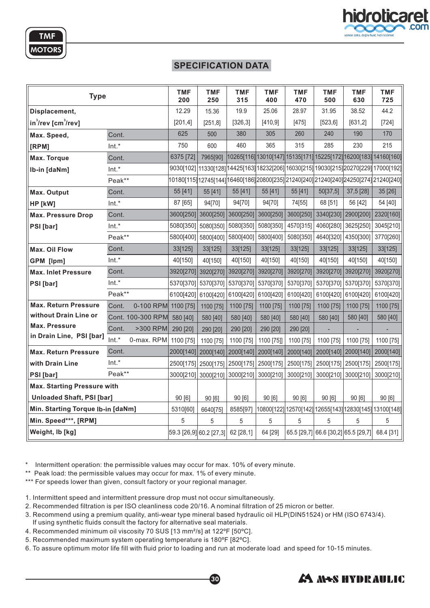



**TMF** 

**MOTORS** 

| <b>Type</b>                        |                              | <b>TMF</b><br>200              | <b>TMF</b><br>250                       | <b>TMF</b><br>315   | <b>TMF</b><br>400   | <b>TMF</b><br>470 | TMF<br>500 | <b>TMF</b><br>630                             | <b>TMF</b><br>725                                                                       |
|------------------------------------|------------------------------|--------------------------------|-----------------------------------------|---------------------|---------------------|-------------------|------------|-----------------------------------------------|-----------------------------------------------------------------------------------------|
| Displacement,                      |                              | 12.29                          | 15.36                                   | 19.9                | 25.06               | 28.97             | 31.95      | 38.52                                         | 44.2                                                                                    |
| $in^3$ /rev [cm $^3$ /rev]         |                              | [201, 4]                       | [251,8]                                 | [326,3]             | [410, 9]            | [475]             | [523, 6]   | [631, 2]                                      | $[724]$                                                                                 |
| Max. Speed,                        | Cont.                        | 625                            | 500                                     | 380                 | 305                 | 260               | 240        | 190                                           | 170                                                                                     |
| [RPM]                              | $Int.*$                      | 750                            | 600                                     | 460                 | 365                 | 315               | 285        | 230                                           | 215                                                                                     |
| Max. Torque                        | Cont.                        | 6375 [72]                      | 7965[90]                                |                     |                     |                   |            |                                               | 10265[116] 13010[147] 15135[171] 15225[172] 16200[183] 14160[160]                       |
| Ib-in [daNm]                       | $Int.*$                      |                                |                                         |                     |                     |                   |            |                                               | 9030[102] 11330[128] 14425[163] 18232[206] 16030[215] 19030[215] 20270[229] 17000[192]  |
|                                    | Peak**                       |                                |                                         |                     |                     |                   |            |                                               | 10180[115] 12745[144] 16460[186] 20800[235] 21240[240] 21240[240] 24250[274] 21240[240] |
| Max. Output                        | Cont.                        | 55 [41]                        | 55 [41]                                 | 55 [41]             | 55 [41]             | 55 [41]           | 50[37,5]   | 37,5 [28]                                     | 35 [26]                                                                                 |
| HP [kW]                            | $Int.*$                      | 87 [65]                        | 94[70]                                  | 94[70]              | 94[70]              | 74[55]            | 68 [51]    | 56 [42]                                       | 54 [40]                                                                                 |
| <b>Max. Pressure Drop</b>          | Cont.                        | 3600[250] 3600[250]            |                                         | 3600[250]           | 3600[250]           | 3600[250]         |            | 3340[230] 2900[200]                           | 2320[160]                                                                               |
| PSI [bar]                          | Int.*                        | 5080[350] 5080[350]            |                                         | 5080[350]           | 5080[350]           | 4570[315]         |            | 4060[280] 3625[250]                           | 3045[210]                                                                               |
|                                    | Peak**                       | 5800[400] 5800[400]            |                                         | 5800[400]           | 5800[400]           | 5080[350]         |            | 4640[320] 4350[300]                           | 3770[260]                                                                               |
| <b>Max. Oil Flow</b>               | Cont.                        | 33[125]                        | 33[125]                                 | 33[125]             | 33[125]             | 33[125]           | 33[125]    | 33[125]                                       | 33[125]                                                                                 |
| GPM [lpm]                          | $Int.*$                      | 40[150]                        | 40[150]                                 | 40[150]             | 40[150]             | 40[150]           | 40[150]    | 40[150]                                       | 40[150]                                                                                 |
| <b>Max. Inlet Pressure</b>         | Cont.                        | 3920[270]                      | 3920[270]                               | 3920[270]           | 3920[270]           | 3920[270]         |            | 3920[270] 3920[270]                           | 3920[270]                                                                               |
| PSI [bar]                          | Int.*                        |                                | 5370[370] 5370[370] 5370[370] 5370[370] |                     |                     | 5370[370]         |            | 5370[370] 5370[370]                           | 5370[370]                                                                               |
|                                    | Peak**                       | 6100[420] 6100[420]            |                                         | 6100[420] 6100[420] |                     | 6100[420]         |            | 6100[420] 6100[420]                           | 6100[420]                                                                               |
| <b>Max. Return Pressure</b>        | 0-100 RPM 1100 [75]<br>Cont. |                                | 1100 [75]                               | 1100 [75]           | 1100 [75]           | 1100 [75]         | 1100 [75]  | 1100 [75]                                     | 1100 [75]                                                                               |
| without Drain Line or              | Cont. 100-300 RPM            | 580 [40]                       | 580 [40]                                | 580 [40]            | 580 [40]            | 580 [40]          | 580 [40]   | 580 [40]                                      | 580 [40]                                                                                |
| <b>Max. Pressure</b>               | >300 RPM<br>Cont.            | 290 [20]                       | 290 [20]                                | 290 [20]            | 290 [20]            | 290 [20]          |            |                                               |                                                                                         |
| in Drain Line, PSI [bar]           | $Int.*$<br>0-max. RPM        | 1100 [75]                      | 1100 [75]                               | 1100 [75]           | 1100 [75]]          | 1100 [75]         | 1100 [75]  | 1100 [75]                                     | 1100 [75]                                                                               |
| <b>Max. Return Pressure</b>        | Cont.                        | 2000[140] 2000[140]            |                                         | 2000[140]           | 2000[140]           | 2000[140]         |            | 2000[140] 2000[140]                           | 2000[140]                                                                               |
| with Drain Line                    | $Int.*$                      |                                | 2500[175] 2500[175] 2500[175] 2500[175] |                     |                     | 2500[175]         |            | 2500[175] 2500[175]                           | 2500[175]                                                                               |
| PSI [bar]                          | Peak**                       | 3000[210] 3000[210]            |                                         |                     | 3000[210] 3000[210] | 3000[210]         |            | 3000[210] 3000[210]                           | 3000[210]                                                                               |
| <b>Max. Starting Pressure with</b> |                              |                                |                                         |                     |                     |                   |            |                                               |                                                                                         |
| <b>Unloaded Shaft, PSI [bar]</b>   |                              | 90 [6]                         | 90[6]                                   | 90 [6]              | 90 [6]              | 90[6]             | 90 [6]     | 90 [6]                                        | 90[6]                                                                                   |
| Min. Starting Torque Ib-in [daNm]  |                              | 5310[60]                       | 6640[75]                                | 8585[97]            |                     |                   |            |                                               | 10800[122] 12570[142] 12655[143] 12830[145] 13100[148]                                  |
| Min. Speed***, [RPM]               |                              | 5                              | 5                                       | 5                   | 5                   | 5                 | 5          | 5                                             | 5                                                                                       |
| Weight, lb [kg]                    |                              | 59.3 26,9  60.2 27,3  62 28,1] |                                         |                     | 64 [29]             |                   |            | 65.5 [29,7] 66.6 [30,2] 65.5 [29,7] 68.4 [31] |                                                                                         |

\* Intermittent operation: the permissible values may occur for max. 10% of every minute.

\*\* Peak load: the permissible values may occur for max. 1% of every minute.

\*\*\* For speeds lower than given, consult factory or your regional manager.

1. Intermittent speed and intermittent pressure drop must not occur simultaneously.

2. Recommended filtration is per ISO cleanliness code 20/16. A nominal filtration of 25 micron or better.

3. Recommend using a premium quality, anti-wear type mineral based hydraulic oil HLP(DIN51524) or HM (ISO 6743/4). If using synthetic fluids consult the factory for alternative seal materials.

30

- 4. Recommended minimum oil viscosity 70 SUS [13 mm²/s] at 122ºF [50ºC].
- 5. Recommended maximum system operating temperature is 180ºF [82ºC].

6. To assure optimum motor life fill with fluid prior to loading and run at moderate load and speed for 10-15 minutes.

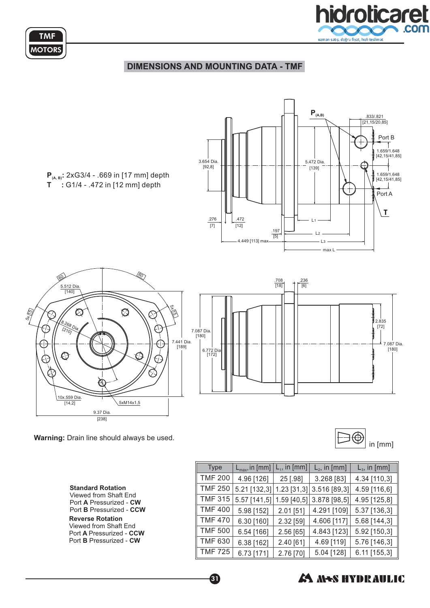

### **DIMENSIONS AND MOUNTING DATA - TMF**



**Warning:** Drain line should always be used.

**TMF MOTORS** 



**Standard Rotation** Port A Pressurized - CW Port **B** Pressurized - CCW Viewed from Shaft End

**Reverse Rotation** Port **A** Pressurized - CCW Port **B** Pressurized - CW Viewed from Shaft End

| <b>Type</b>    | $\mathsf{L}_{\mathsf{max}}$ , in [mm] | $L_1$ , in [mm] | $L2$ , in [mm] | $L3$ , in [mm] |
|----------------|---------------------------------------|-----------------|----------------|----------------|
| <b>TMF 200</b> | 4.96 [126]                            | 25 [.98]        | 3.268 [83]     | 4.34 [110,3]   |
| <b>TMF 250</b> | 5.21 [132,3]                          | $1.23$ [31,3]   | 3.516 [89,3]   | 4.59 [116,6]   |
| <b>TMF 315</b> | 5.57 [141,5]                          | 1.59 [40,5]     | 3.878 [98,5]   | 4.95 [125,8]   |
| <b>TMF 400</b> | 5.98 [152]                            | 2.01 [51]       | 4.291 [109]    | 5.37 [136,3]   |
| <b>TMF 470</b> | 6.30 [160]                            | 2.32 [59]       | 4.606 [117]    | 5.68 [144,3]   |
| <b>TMF 500</b> | 6.54 [166]                            | 2.56 [65]       | 4.843 [123]    | 5.92 [150,3]   |
| <b>TMF 630</b> | 6.38 [162]                            | 2.40 [61]       | 4.69 [119]     | 5.76 [146,3]   |
| <b>TMF 725</b> | 6.73 [171]                            | 2.76 [70]       | 5.04 [128]     | 6.11 [155,3]   |



60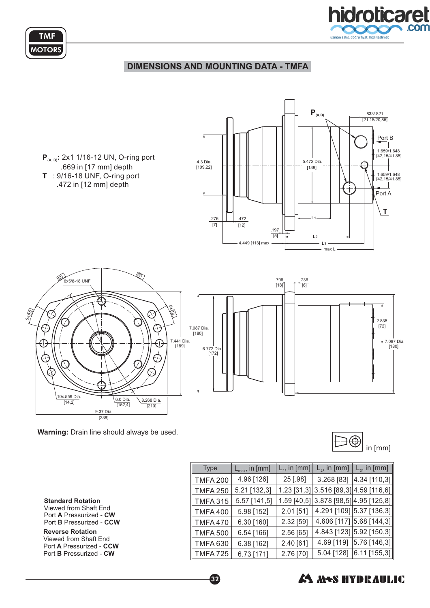

### **DIMENSIONS AND MOUNTING DATA - TMFA**





| <b>Type</b>          | $\mathsf{L}_{\mathsf{max}}$ , in [mm] | $L1$ , in [mm] | $\mathsf{L}_{2}$ , in [mm] $\mathsf{L}_{3}$ , in [mm] $\mathsf{L}_{3}$ |
|----------------------|---------------------------------------|----------------|------------------------------------------------------------------------|
| <b>TMFA 200</b>      | 4.96 [126]                            | 25 [.98]       | $3.268$ [83] $ 4.34$ [110,3]                                           |
| <b>TMFA 250</b>      | 5.21 [132,3]                          |                | 1.23 [31,3] 3.516 [89,3] 4.59 [116,6]                                  |
| <b>TMFA 315</b>      | 5.57 [141,5]                          |                | 1.59 [40,5] 3.878 [98,5] 4.95 [125,8]                                  |
| <b>TMFA 400</b>      | 5.98 [152]                            | $2.01$ [51]    | 4.291 [109] 5.37 [136,3]                                               |
| <b>TMFA470</b>       | 6.30 [160]                            | 2.32 [59]      | 4.606 [117] 5.68 [144,3]                                               |
| <b>TMFA 500</b>      | 6.54 [166]                            | 2.56 [65]      | 4.843 [123] 5.92 [150,3]                                               |
| <b>TMFA 630</b>      | 6.38 [162]                            | 2.40 [61]      | 4.69 [119] 5.76 [146,3]                                                |
| $\parallel$ TMFA 725 | 6.73 [171]                            | 2.76 [70]      | $5.04$ [128] $ 6.11$ [155,3]                                           |



**TMF MOTORS** 

> **Reverse Rotation** Port **A** Pressurized - CCW Port **B** Pressurized - CW Viewed from Shaft End

## **A MAS HYDRAULIC**

32